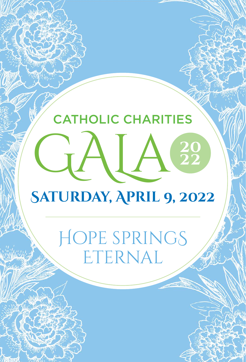## CATHOLIC CHARITIES GALa **Saturday, April 9, 2022**

Hope springS ETERNAL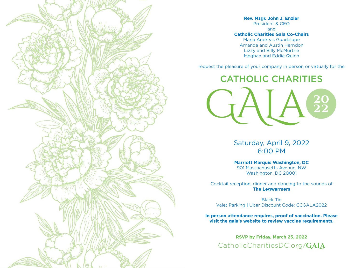$\mathbf{u}_1$ 

**Rev. Msgr. John J. Enzler** President & CEO and **Catholic Charities Gala Co-Chairs** Maria Andreas Guadalupe Amanda and Austin Herndon Lizzy and Billy McMurtrie Meghan and Eddie Quinn

request the pleasure of your company in person or virtually for the

CATHOLIC CHARITIES GALa

> Saturday, April 9, 2022 6:00 PM

**Marriott Marquis Washington, DC** 901 Massachusetts Avenue, NW Washington, DC 20001

Cocktail reception, dinner and dancing to the sounds of **The Legwarmers**

Black Tie Valet Parking | Uber Discount Code: CCGALA2022

**In person attendance requires, proof of vaccination. Please visit the gala's website to review vaccine requirements.**

**RSVP by Friday, March 25, 2022** CatholicCharitiesDC.org**/GaLa**